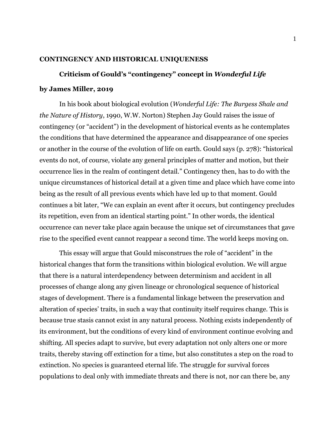## **CONTINGENCY AND HISTORICAL UNIQUENESS**

## **Criticism of Gould's "contingency" concept in** *Wonderful Life*

## **by James Miller, 2019**

In his book about biological evolution (*Wonderful Life: The Burgess Shale and the Nature of History*, 1990, W.W. Norton) Stephen Jay Gould raises the issue of contingency (or "accident") in the development of historical events as he contemplates the conditions that have determined the appearance and disappearance of one species or another in the course of the evolution of life on earth. Gould says (p. 278): "historical events do not, of course, violate any general principles of matter and motion, but their occurrence lies in the realm of contingent detail." Contingency then, has to do with the unique circumstances of historical detail at a given time and place which have come into being as the result of all previous events which have led up to that moment. Gould continues a bit later, "We can explain an event after it occurs, but contingency precludes its repetition, even from an identical starting point." In other words, the identical occurrence can never take place again because the unique set of circumstances that gave rise to the specified event cannot reappear a second time. The world keeps moving on.

This essay will argue that Gould misconstrues the role of "accident" in the historical changes that form the transitions within biological evolution. We will argue that there is a natural interdependency between determinism and accident in all processes of change along any given lineage or chronological sequence of historical stages of development. There is a fundamental linkage between the preservation and alteration of species' traits, in such a way that continuity itself requires change. This is because true stasis cannot exist in any natural process. Nothing exists independently of its environment, but the conditions of every kind of environment continue evolving and shifting. All species adapt to survive, but every adaptation not only alters one or more traits, thereby staving off extinction for a time, but also constitutes a step on the road to extinction. No species is guaranteed eternal life. The struggle for survival forces populations to deal only with immediate threats and there is not, nor can there be, any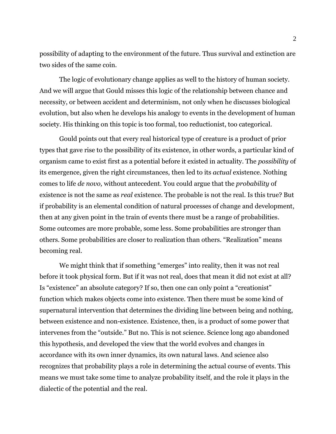possibility of adapting to the environment of the future. Thus survival and extinction are two sides of the same coin.

The logic of evolutionary change applies as well to the history of human society. And we will argue that Gould misses this logic of the relationship between chance and necessity, or between accident and determinism, not only when he discusses biological evolution, but also when he develops his analogy to events in the development of human society. His thinking on this topic is too formal, too reductionist, too categorical.

Gould points out that every real historical type of creature is a product of prior types that gave rise to the possibility of its existence, in other words, a particular kind of organism came to exist first as a potential before it existed in actuality. The *possibility* of its emergence, given the right circumstances, then led to its *actual* existence. Nothing comes to life *de novo,* without antecedent. You could argue that the *probability* of existence is not the same as *real* existence. The probable is not the real. Is this true? But if probability is an elemental condition of natural processes of change and development, then at any given point in the train of events there must be a range of probabilities. Some outcomes are more probable, some less. Some probabilities are stronger than others. Some probabilities are closer to realization than others. "Realization" means becoming real.

We might think that if something "emerges" into reality, then it was not real before it took physical form. But if it was not real, does that mean it did not exist at all? Is "existence" an absolute category? If so, then one can only point a "creationist" function which makes objects come into existence. Then there must be some kind of supernatural intervention that determines the dividing line between being and nothing, between existence and non-existence. Existence, then, is a product of some power that intervenes from the "outside." But no. This is not science. Science long ago abandoned this hypothesis, and developed the view that the world evolves and changes in accordance with its own inner dynamics, its own natural laws. And science also recognizes that probability plays a role in determining the actual course of events. This means we must take some time to analyze probability itself, and the role it plays in the dialectic of the potential and the real.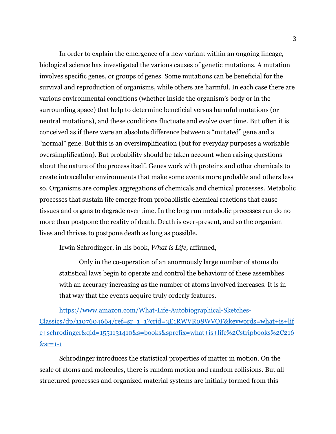In order to explain the emergence of a new variant within an ongoing lineage, biological science has investigated the various causes of genetic mutations. A mutation involves specific genes, or groups of genes. Some mutations can be beneficial for the survival and reproduction of organisms, while others are harmful. In each case there are various environmental conditions (whether inside the organism's body or in the surrounding space) that help to determine beneficial versus harmful mutations (or neutral mutations), and these conditions fluctuate and evolve over time. But often it is conceived as if there were an absolute difference between a "mutated" gene and a "normal" gene. But this is an oversimplification (but for everyday purposes a workable oversimplification). But probability should be taken account when raising questions about the nature of the process itself. Genes work with proteins and other chemicals to create intracellular environments that make some events more probable and others less so. Organisms are complex aggregations of chemicals and chemical processes. Metabolic processes that sustain life emerge from probabilistic chemical reactions that cause tissues and organs to degrade over time. In the long run metabolic processes can do no more than postpone the reality of death. Death is ever-present, and so the organism lives and thrives to postpone death as long as possible.

Irwin Schrodinger, in his book, *What is Life,* affirmed,

Only in the co-operation of an enormously large number of atoms do statistical laws begin to operate and control the behaviour of these assemblies with an accuracy increasing as the number of atoms involved increases. It is in that way that the events acquire truly orderly features.

[https://www.amazon.com/What-Life-Autobiographical-Sketches-](https://www.amazon.com/What-Life-Autobiographical-Sketches-Classics/dp/1107604664/ref=sr_1_1?crid=3E1RWVR08WVOF&keywords=what+is+life+schrodinger&qid=1551131410&s=books&sprefix=what+is+life%2Cstripbooks%2C216&sr=1-1)[Classics/dp/1107604664/ref=sr\\_1\\_1?crid=3E1RWVR08WVOF&keywords=what+is+lif](https://www.amazon.com/What-Life-Autobiographical-Sketches-Classics/dp/1107604664/ref=sr_1_1?crid=3E1RWVR08WVOF&keywords=what+is+life+schrodinger&qid=1551131410&s=books&sprefix=what+is+life%2Cstripbooks%2C216&sr=1-1) [e+schrodinger&qid=1551131410&s=books&sprefix=what+is+life%2Cstripbooks%2C216](https://www.amazon.com/What-Life-Autobiographical-Sketches-Classics/dp/1107604664/ref=sr_1_1?crid=3E1RWVR08WVOF&keywords=what+is+life+schrodinger&qid=1551131410&s=books&sprefix=what+is+life%2Cstripbooks%2C216&sr=1-1) [&sr=1-1](https://www.amazon.com/What-Life-Autobiographical-Sketches-Classics/dp/1107604664/ref=sr_1_1?crid=3E1RWVR08WVOF&keywords=what+is+life+schrodinger&qid=1551131410&s=books&sprefix=what+is+life%2Cstripbooks%2C216&sr=1-1)

Schrodinger introduces the statistical properties of matter in motion. On the scale of atoms and molecules, there is random motion and random collisions. But all structured processes and organized material systems are initially formed from this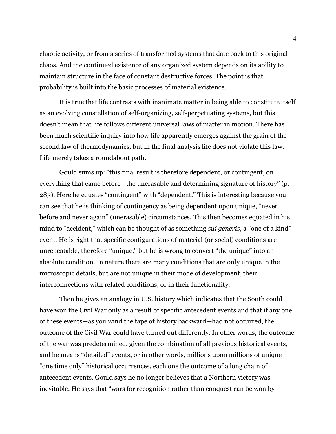chaotic activity, or from a series of transformed systems that date back to this original chaos. And the continued existence of any organized system depends on its ability to maintain structure in the face of constant destructive forces. The point is that probability is built into the basic processes of material existence.

It is true that life contrasts with inanimate matter in being able to constitute itself as an evolving constellation of self-organizing, self-perpetuating systems, but this doesn't mean that life follows different universal laws of matter in motion. There has been much scientific inquiry into how life apparently emerges against the grain of the second law of thermodynamics, but in the final analysis life does not violate this law. Life merely takes a roundabout path.

Gould sums up: "this final result is therefore dependent, or contingent, on everything that came before—the unerasable and determining signature of history" (p. 283). Here he equates "contingent" with "dependent." This is interesting because you can see that he is thinking of contingency as being dependent upon unique, "never before and never again" (unerasable) circumstances. This then becomes equated in his mind to "accident," which can be thought of as something *sui generis*, a "one of a kind" event. He is right that specific configurations of material (or social) conditions are unrepeatable, therefore "unique," but he is wrong to convert "the unique" into an absolute condition. In nature there are many conditions that are only unique in the microscopic details, but are not unique in their mode of development, their interconnections with related conditions, or in their functionality.

Then he gives an analogy in U.S. history which indicates that the South could have won the Civil War only as a result of specific antecedent events and that if any one of these events—as you wind the tape of history backward—had not occurred, the outcome of the Civil War could have turned out differently. In other words, the outcome of the war was predetermined, given the combination of all previous historical events, and he means "detailed" events, or in other words, millions upon millions of unique "one time only" historical occurrences, each one the outcome of a long chain of antecedent events. Gould says he no longer believes that a Northern victory was inevitable. He says that "wars for recognition rather than conquest can be won by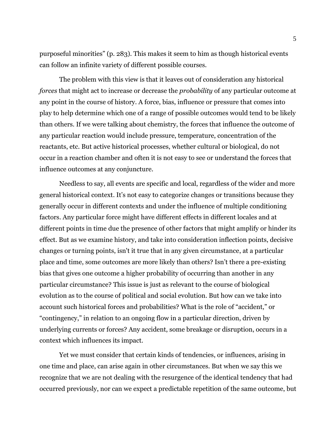purposeful minorities" (p. 283). This makes it seem to him as though historical events can follow an infinite variety of different possible courses.

The problem with this view is that it leaves out of consideration any historical *forces* that might act to increase or decrease the *probability* of any particular outcome at any point in the course of history. A force, bias, influence or pressure that comes into play to help determine which one of a range of possible outcomes would tend to be likely than others. If we were talking about chemistry, the forces that influence the outcome of any particular reaction would include pressure, temperature, concentration of the reactants, etc. But active historical processes, whether cultural or biological, do not occur in a reaction chamber and often it is not easy to see or understand the forces that influence outcomes at any conjuncture.

Needless to say, all events are specific and local, regardless of the wider and more general historical context. It's not easy to categorize changes or transitions because they generally occur in different contexts and under the influence of multiple conditioning factors. Any particular force might have different effects in different locales and at different points in time due the presence of other factors that might amplify or hinder its effect. But as we examine history, and take into consideration inflection points, decisive changes or turning points, isn't it true that in any given circumstance, at a particular place and time, some outcomes are more likely than others? Isn't there a pre-existing bias that gives one outcome a higher probability of occurring than another in any particular circumstance? This issue is just as relevant to the course of biological evolution as to the course of political and social evolution. But how can we take into account such historical forces and probabilities? What is the role of "accident," or "contingency," in relation to an ongoing flow in a particular direction, driven by underlying currents or forces? Any accident, some breakage or disruption, occurs in a context which influences its impact.

Yet we must consider that certain kinds of tendencies, or influences, arising in one time and place, can arise again in other circumstances. But when we say this we recognize that we are not dealing with the resurgence of the identical tendency that had occurred previously, nor can we expect a predictable repetition of the same outcome, but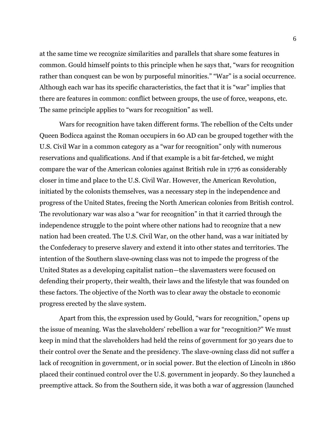at the same time we recognize similarities and parallels that share some features in common. Gould himself points to this principle when he says that, "wars for recognition rather than conquest can be won by purposeful minorities." "War" is a social occurrence. Although each war has its specific characteristics, the fact that it is "war" implies that there are features in common: conflict between groups, the use of force, weapons, etc. The same principle applies to "wars for recognition" as well.

Wars for recognition have taken different forms. The rebellion of the Celts under Queen Bodicca against the Roman occupiers in 60 AD can be grouped together with the U.S. Civil War in a common category as a "war for recognition" only with numerous reservations and qualifications. And if that example is a bit far-fetched, we might compare the war of the American colonies against British rule in 1776 as considerably closer in time and place to the U.S. Civil War. However, the American Revolution, initiated by the colonists themselves, was a necessary step in the independence and progress of the United States, freeing the North American colonies from British control. The revolutionary war was also a "war for recognition" in that it carried through the independence struggle to the point where other nations had to recognize that a new nation had been created. The U.S. Civil War, on the other hand, was a war initiated by the Confederacy to preserve slavery and extend it into other states and territories. The intention of the Southern slave-owning class was not to impede the progress of the United States as a developing capitalist nation—the slavemasters were focused on defending their property, their wealth, their laws and the lifestyle that was founded on these factors. The objective of the North was to clear away the obstacle to economic progress erected by the slave system.

Apart from this, the expression used by Gould, "wars for recognition," opens up the issue of meaning. Was the slaveholders' rebellion a war for "recognition?" We must keep in mind that the slaveholders had held the reins of government for 30 years due to their control over the Senate and the presidency. The slave-owning class did not suffer a lack of recognition in government, or in social power. But the election of Lincoln in 1860 placed their continued control over the U.S. government in jeopardy. So they launched a preemptive attack. So from the Southern side, it was both a war of aggression (launched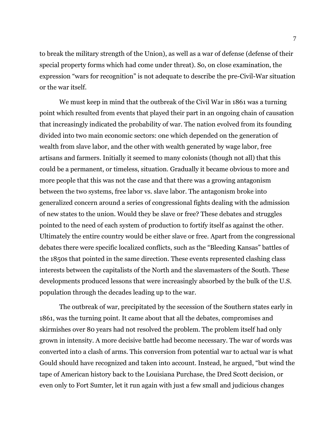to break the military strength of the Union), as well as a war of defense (defense of their special property forms which had come under threat). So, on close examination, the expression "wars for recognition" is not adequate to describe the pre-Civil-War situation or the war itself.

We must keep in mind that the outbreak of the Civil War in 1861 was a turning point which resulted from events that played their part in an ongoing chain of causation that increasingly indicated the probability of war. The nation evolved from its founding divided into two main economic sectors: one which depended on the generation of wealth from slave labor, and the other with wealth generated by wage labor, free artisans and farmers. Initially it seemed to many colonists (though not all) that this could be a permanent, or timeless, situation. Gradually it became obvious to more and more people that this was not the case and that there was a growing antagonism between the two systems, free labor vs. slave labor. The antagonism broke into generalized concern around a series of congressional fights dealing with the admission of new states to the union. Would they be slave or free? These debates and struggles pointed to the need of each system of production to fortify itself as against the other. Ultimately the entire country would be either slave or free. Apart from the congressional debates there were specific localized conflicts, such as the "Bleeding Kansas" battles of the 1850s that pointed in the same direction. These events represented clashing class interests between the capitalists of the North and the slavemasters of the South. These developments produced lessons that were increasingly absorbed by the bulk of the U.S. population through the decades leading up to the war.

The outbreak of war, precipitated by the secession of the Southern states early in 1861, was the turning point. It came about that all the debates, compromises and skirmishes over 80 years had not resolved the problem. The problem itself had only grown in intensity. A more decisive battle had become necessary. The war of words was converted into a clash of arms. This conversion from potential war to actual war is what Gould should have recognized and taken into account. Instead, he argued, "but wind the tape of American history back to the Louisiana Purchase, the Dred Scott decision, or even only to Fort Sumter, let it run again with just a few small and judicious changes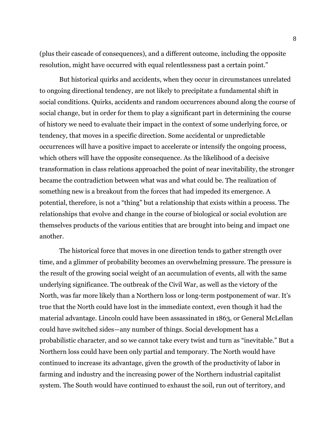(plus their cascade of consequences), and a different outcome, including the opposite resolution, might have occurred with equal relentlessness past a certain point."

But historical quirks and accidents, when they occur in circumstances unrelated to ongoing directional tendency, are not likely to precipitate a fundamental shift in social conditions. Quirks, accidents and random occurrences abound along the course of social change, but in order for them to play a significant part in determining the course of history we need to evaluate their impact in the context of some underlying force, or tendency, that moves in a specific direction. Some accidental or unpredictable occurrences will have a positive impact to accelerate or intensify the ongoing process, which others will have the opposite consequence. As the likelihood of a decisive transformation in class relations approached the point of near inevitability, the stronger became the contradiction between what was and what could be. The realization of something new is a breakout from the forces that had impeded its emergence. A potential, therefore, is not a "thing" but a relationship that exists within a process. The relationships that evolve and change in the course of biological or social evolution are themselves products of the various entities that are brought into being and impact one another.

The historical force that moves in one direction tends to gather strength over time, and a glimmer of probability becomes an overwhelming pressure. The pressure is the result of the growing social weight of an accumulation of events, all with the same underlying significance. The outbreak of the Civil War, as well as the victory of the North, was far more likely than a Northern loss or long-term postponement of war. It's true that the North could have lost in the immediate context, even though it had the material advantage. Lincoln could have been assassinated in 1863, or General McLellan could have switched sides—any number of things. Social development has a probabilistic character, and so we cannot take every twist and turn as "inevitable." But a Northern loss could have been only partial and temporary. The North would have continued to increase its advantage, given the growth of the productivity of labor in farming and industry and the increasing power of the Northern industrial capitalist system. The South would have continued to exhaust the soil, run out of territory, and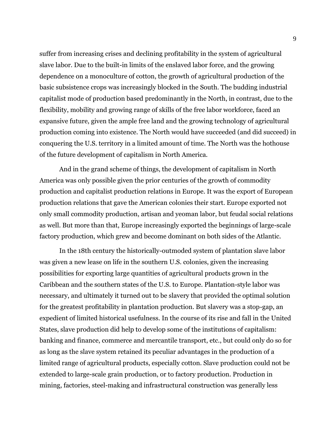suffer from increasing crises and declining profitability in the system of agricultural slave labor. Due to the built-in limits of the enslaved labor force, and the growing dependence on a monoculture of cotton, the growth of agricultural production of the basic subsistence crops was increasingly blocked in the South. The budding industrial capitalist mode of production based predominantly in the North, in contrast, due to the flexibility, mobility and growing range of skills of the free labor workforce, faced an expansive future, given the ample free land and the growing technology of agricultural production coming into existence. The North would have succeeded (and did succeed) in conquering the U.S. territory in a limited amount of time. The North was the hothouse of the future development of capitalism in North America.

And in the grand scheme of things, the development of capitalism in North America was only possible given the prior centuries of the growth of commodity production and capitalist production relations in Europe. It was the export of European production relations that gave the American colonies their start. Europe exported not only small commodity production, artisan and yeoman labor, but feudal social relations as well. But more than that, Europe increasingly exported the beginnings of large-scale factory production, which grew and become dominant on both sides of the Atlantic.

In the 18th century the historically-outmoded system of plantation slave labor was given a new lease on life in the southern U.S. colonies, given the increasing possibilities for exporting large quantities of agricultural products grown in the Caribbean and the southern states of the U.S. to Europe. Plantation-style labor was necessary, and ultimately it turned out to be slavery that provided the optimal solution for the greatest profitability in plantation production. But slavery was a stop-gap, an expedient of limited historical usefulness. In the course of its rise and fall in the United States, slave production did help to develop some of the institutions of capitalism: banking and finance, commerce and mercantile transport, etc., but could only do so for as long as the slave system retained its peculiar advantages in the production of a limited range of agricultural products, especially cotton. Slave production could not be extended to large-scale grain production, or to factory production. Production in mining, factories, steel-making and infrastructural construction was generally less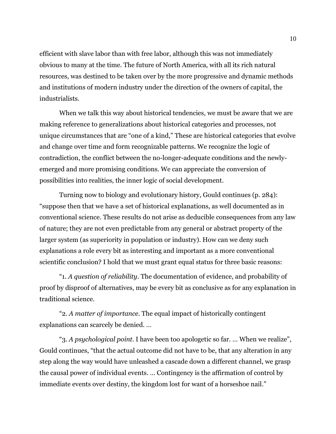efficient with slave labor than with free labor, although this was not immediately obvious to many at the time. The future of North America, with all its rich natural resources, was destined to be taken over by the more progressive and dynamic methods and institutions of modern industry under the direction of the owners of capital, the industrialists.

When we talk this way about historical tendencies, we must be aware that we are making reference to generalizations about historical categories and processes, not unique circumstances that are "one of a kind," These are historical categories that evolve and change over time and form recognizable patterns. We recognize the logic of contradiction, the conflict between the no-longer-adequate conditions and the newlyemerged and more promising conditions. We can appreciate the conversion of possibilities into realities, the inner logic of social development.

Turning now to biology and evolutionary history, Gould continues (p. 284): "suppose then that we have a set of historical explanations, as well documented as in conventional science. These results do not arise as deducible consequences from any law of nature; they are not even predictable from any general or abstract property of the larger system (as superiority in population or industry). How can we deny such explanations a role every bit as interesting and important as a more conventional scientific conclusion? I hold that we must grant equal status for three basic reasons:

"1. *A question of reliability*. The documentation of evidence, and probability of proof by disproof of alternatives, may be every bit as conclusive as for any explanation in traditional science.

"2. *A matter of importance.* The equal impact of historically contingent explanations can scarcely be denied. …

"3. *A psychological point.* I have been too apologetic so far. … When we realize", Gould continues, "that the actual outcome did not have to be, that any alteration in any step along the way would have unleashed a cascade down a different channel, we grasp the causal power of individual events. … Contingency is the affirmation of control by immediate events over destiny, the kingdom lost for want of a horseshoe nail."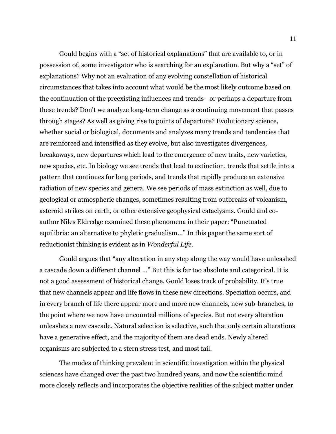Gould begins with a "set of historical explanations" that are available to, or in possession of, some investigator who is searching for an explanation. But why a "set" of explanations? Why not an evaluation of any evolving constellation of historical circumstances that takes into account what would be the most likely outcome based on the continuation of the preexisting influences and trends—or perhaps a departure from these trends? Don't we analyze long-term change as a continuing movement that passes through stages? As well as giving rise to points of departure? Evolutionary science, whether social or biological, documents and analyzes many trends and tendencies that are reinforced and intensified as they evolve, but also investigates divergences, breakaways, new departures which lead to the emergence of new traits, new varieties, new species, etc. In biology we see trends that lead to extinction, trends that settle into a pattern that continues for long periods, and trends that rapidly produce an extensive radiation of new species and genera. We see periods of mass extinction as well, due to geological or atmospheric changes, sometimes resulting from outbreaks of volcanism, asteroid strikes on earth, or other extensive geophysical cataclysms. Gould and coauthor Niles Eldredge examined these phenomena in their paper: "Punctuated equilibria: an alternative to phyletic gradualism..." In this paper the same sort of reductionist thinking is evident as in *Wonderful Life.*

Gould argues that "any alteration in any step along the way would have unleashed a cascade down a different channel …" But this is far too absolute and categorical. It is not a good assessment of historical change. Gould loses track of probability. It's true that new channels appear and life flows in these new directions. Speciation occurs, and in every branch of life there appear more and more new channels, new sub-branches, to the point where we now have uncounted millions of species. But not every alteration unleashes a new cascade. Natural selection is selective, such that only certain alterations have a generative effect, and the majority of them are dead ends. Newly altered organisms are subjected to a stern stress test, and most fail.

The modes of thinking prevalent in scientific investigation within the physical sciences have changed over the past two hundred years, and now the scientific mind more closely reflects and incorporates the objective realities of the subject matter under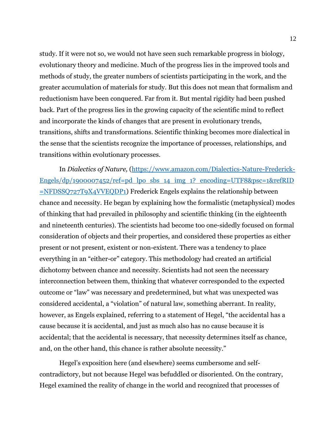study. If it were not so, we would not have seen such remarkable progress in biology, evolutionary theory and medicine. Much of the progress lies in the improved tools and methods of study, the greater numbers of scientists participating in the work, and the greater accumulation of materials for study. But this does not mean that formalism and reductionism have been conquered. Far from it. But mental rigidity had been pushed back. Part of the progress lies in the growing capacity of the scientific mind to reflect and incorporate the kinds of changes that are present in evolutionary trends, transitions, shifts and transformations. Scientific thinking becomes more dialectical in the sense that the scientists recognize the importance of processes, relationships, and transitions within evolutionary processes.

In *Dialectics of Nature,* [\(https://www.amazon.com/Dialectics-Nature-Frederick-](https://www.amazon.com/Dialectics-Nature-Frederick-Engels/dp/1900007452/ref=pd_lpo_sbs_14_img_1?_encoding=UTF8&psc=1&refRID=NFDSSQ727T9X4VVEQDP1)[Engels/dp/1900007452/ref=pd\\_lpo\\_sbs\\_14\\_img\\_1?\\_encoding=UTF8&psc=1&refRID](https://www.amazon.com/Dialectics-Nature-Frederick-Engels/dp/1900007452/ref=pd_lpo_sbs_14_img_1?_encoding=UTF8&psc=1&refRID=NFDSSQ727T9X4VVEQDP1) [=NFDSSQ727T9X4VVEQDP1\)](https://www.amazon.com/Dialectics-Nature-Frederick-Engels/dp/1900007452/ref=pd_lpo_sbs_14_img_1?_encoding=UTF8&psc=1&refRID=NFDSSQ727T9X4VVEQDP1) Frederick Engels explains the relationship between chance and necessity. He began by explaining how the formalistic (metaphysical) modes of thinking that had prevailed in philosophy and scientific thinking (in the eighteenth and nineteenth centuries). The scientists had become too one-sidedly focused on formal consideration of objects and their properties, and considered these properties as either present or not present, existent or non-existent. There was a tendency to place everything in an "either-or" category. This methodology had created an artificial dichotomy between chance and necessity. Scientists had not seen the necessary interconnection between them, thinking that whatever corresponded to the expected outcome or "law" was necessary and predetermined, but what was unexpected was considered accidental, a "violation" of natural law, something aberrant. In reality, however, as Engels explained, referring to a statement of Hegel, "the accidental has a cause because it is accidental, and just as much also has no cause because it is accidental; that the accidental is necessary, that necessity determines itself as chance, and, on the other hand, this chance is rather absolute necessity."

Hegel's exposition here (and elsewhere) seems cumbersome and selfcontradictory, but not because Hegel was befuddled or disoriented. On the contrary, Hegel examined the reality of change in the world and recognized that processes of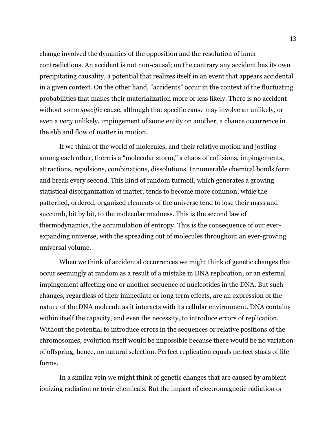change involved the dynamics of the opposition and the resolution of inner contradictions. An accident is not non-causal; on the contrary any accident has its own precipitating causality, a potential that realizes itself in an event that appears accidental in a given context. On the other hand, "accidents" occur in the context of the fluctuating probabilities that makes their materialization more or less likely. There is no accident without some *specific* cause, although that specific cause may involve an unlikely, or even a *very* unlikely, impingement of some entity on another, a chance occurrence in the ebb and flow of matter in motion.

If we think of the world of molecules, and their relative motion and jostling among each other, there is a "molecular storm," a chaos of collisions, impingements, attractions, repulsions, combinations, dissolutions. Innumerable chemical bonds form and break every second. This kind of random turmoil, which generates a growing statistical disorganization of matter, tends to become more common, while the patterned, ordered, organized elements of the universe tend to lose their mass and succumb, bit by bit, to the molecular madness. This is the second law of thermodynamics, the accumulation of entropy. This is the consequence of our everexpanding universe, with the spreading out of molecules throughout an ever-growing universal volume.

When we think of accidental occurrences we might think of genetic changes that occur seemingly at random as a result of a mistake in DNA replication, or an external impingement affecting one or another sequence of nucleotides in the DNA. But such changes, regardless of their immediate or long term effects, are an expression of the nature of the DNA molecule as it interacts with its cellular environment. DNA contains within itself the capacity, and even the necessity, to introduce errors of replication. Without the potential to introduce errors in the sequences or relative positions of the chromosomes, evolution itself would be impossible because there would be no variation of offspring, hence, no natural selection. Perfect replication equals perfect stasis of life forms.

In a similar vein we might think of genetic changes that are caused by ambient ionizing radiation or toxic chemicals. But the impact of electromagnetic radiation or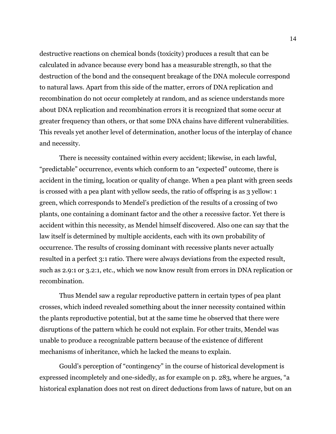destructive reactions on chemical bonds (toxicity) produces a result that can be calculated in advance because every bond has a measurable strength, so that the destruction of the bond and the consequent breakage of the DNA molecule correspond to natural laws. Apart from this side of the matter, errors of DNA replication and recombination do not occur completely at random, and as science understands more about DNA replication and recombination errors it is recognized that some occur at greater frequency than others, or that some DNA chains have different vulnerabilities. This reveals yet another level of determination, another locus of the interplay of chance and necessity.

There is necessity contained within every accident; likewise, in each lawful, "predictable" occurrence, events which conform to an "expected" outcome, there is accident in the timing, location or quality of change. When a pea plant with green seeds is crossed with a pea plant with yellow seeds, the ratio of offspring is as 3 yellow: 1 green, which corresponds to Mendel's prediction of the results of a crossing of two plants, one containing a dominant factor and the other a recessive factor. Yet there is accident within this necessity, as Mendel himself discovered. Also one can say that the law itself is determined by multiple accidents, each with its own probability of occurrence. The results of crossing dominant with recessive plants never actually resulted in a perfect 3:1 ratio. There were always deviations from the expected result, such as 2.9:1 or 3.2:1, etc., which we now know result from errors in DNA replication or recombination.

Thus Mendel saw a regular reproductive pattern in certain types of pea plant crosses, which indeed revealed something about the inner necessity contained within the plants reproductive potential, but at the same time he observed that there were disruptions of the pattern which he could not explain. For other traits, Mendel was unable to produce a recognizable pattern because of the existence of different mechanisms of inheritance, which he lacked the means to explain.

Gould's perception of "contingency" in the course of historical development is expressed incompletely and one-sidedly, as for example on p. 283, where he argues, "a historical explanation does not rest on direct deductions from laws of nature, but on an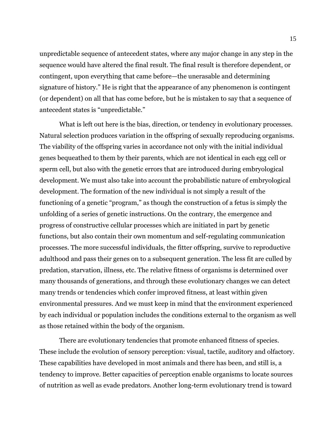unpredictable sequence of antecedent states, where any major change in any step in the sequence would have altered the final result. The final result is therefore dependent, or contingent, upon everything that came before—the unerasable and determining signature of history." He is right that the appearance of any phenomenon is contingent (or dependent) on all that has come before, but he is mistaken to say that a sequence of antecedent states is "unpredictable."

What is left out here is the bias, direction, or tendency in evolutionary processes. Natural selection produces variation in the offspring of sexually reproducing organisms. The viability of the offspring varies in accordance not only with the initial individual genes bequeathed to them by their parents, which are not identical in each egg cell or sperm cell, but also with the genetic errors that are introduced during embryological development. We must also take into account the probabilistic nature of embryological development. The formation of the new individual is not simply a result of the functioning of a genetic "program," as though the construction of a fetus is simply the unfolding of a series of genetic instructions. On the contrary, the emergence and progress of constructive cellular processes which are initiated in part by genetic functions, but also contain their own momentum and self-regulating communication processes. The more successful individuals, the fitter offspring, survive to reproductive adulthood and pass their genes on to a subsequent generation. The less fit are culled by predation, starvation, illness, etc. The relative fitness of organisms is determined over many thousands of generations, and through these evolutionary changes we can detect many trends or tendencies which confer improved fitness, at least within given environmental pressures. And we must keep in mind that the environment experienced by each individual or population includes the conditions external to the organism as well as those retained within the body of the organism.

There are evolutionary tendencies that promote enhanced fitness of species. These include the evolution of sensory perception: visual, tactile, auditory and olfactory. These capabilities have developed in most animals and there has been, and still is, a tendency to improve. Better capacities of perception enable organisms to locate sources of nutrition as well as evade predators. Another long-term evolutionary trend is toward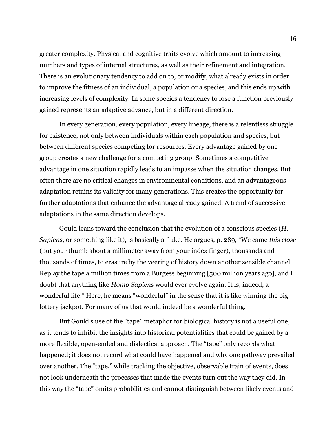greater complexity. Physical and cognitive traits evolve which amount to increasing numbers and types of internal structures, as well as their refinement and integration. There is an evolutionary tendency to add on to, or modify, what already exists in order to improve the fitness of an individual, a population or a species, and this ends up with increasing levels of complexity. In some species a tendency to lose a function previously gained represents an adaptive advance, but in a different direction.

In every generation, every population, every lineage, there is a relentless struggle for existence, not only between individuals within each population and species, but between different species competing for resources. Every advantage gained by one group creates a new challenge for a competing group. Sometimes a competitive advantage in one situation rapidly leads to an impasse when the situation changes. But often there are no critical changes in environmental conditions, and an advantageous adaptation retains its validity for many generations. This creates the opportunity for further adaptations that enhance the advantage already gained. A trend of successive adaptations in the same direction develops.

Gould leans toward the conclusion that the evolution of a conscious species (*H. Sapiens*, or something like it), is basically a fluke. He argues, p. 289, "We came *this close* (put your thumb about a millimeter away from your index finger), thousands and thousands of times, to erasure by the veering of history down another sensible channel. Replay the tape a million times from a Burgess beginning [500 million years ago], and I doubt that anything like *Homo Sapiens* would ever evolve again. It is, indeed, a wonderful life." Here, he means "wonderful" in the sense that it is like winning the big lottery jackpot. For many of us that would indeed be a wonderful thing.

But Gould's use of the "tape" metaphor for biological history is not a useful one, as it tends to inhibit the insights into historical potentialities that could be gained by a more flexible, open-ended and dialectical approach. The "tape" only records what happened; it does not record what could have happened and why one pathway prevailed over another. The "tape," while tracking the objective, observable train of events, does not look underneath the processes that made the events turn out the way they did. In this way the "tape" omits probabilities and cannot distinguish between likely events and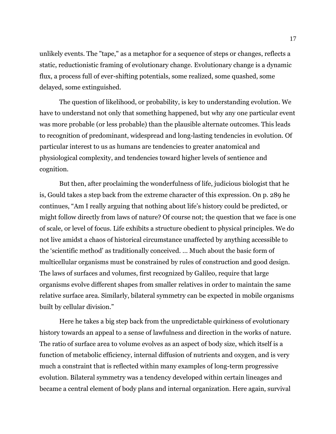unlikely events. The "tape," as a metaphor for a sequence of steps or changes, reflects a static, reductionistic framing of evolutionary change. Evolutionary change is a dynamic flux, a process full of ever-shifting potentials, some realized, some quashed, some delayed, some extinguished.

The question of likelihood, or probability, is key to understanding evolution. We have to understand not only that something happened, but why any one particular event was more probable (or less probable) than the plausible alternate outcomes. This leads to recognition of predominant, widespread and long-lasting tendencies in evolution. Of particular interest to us as humans are tendencies to greater anatomical and physiological complexity, and tendencies toward higher levels of sentience and cognition.

But then, after proclaiming the wonderfulness of life, judicious biologist that he is, Gould takes a step back from the extreme character of this expression. On p. 289 he continues, "Am I really arguing that nothing about life's history could be predicted, or might follow directly from laws of nature? Of course not; the question that we face is one of scale, or level of focus. Life exhibits a structure obedient to physical principles. We do not live amidst a chaos of historical circumstance unaffected by anything accessible to the 'scientific method' as traditionally conceived. … Much about the basic form of multicellular organisms must be constrained by rules of construction and good design. The laws of surfaces and volumes, first recognized by Galileo, require that large organisms evolve different shapes from smaller relatives in order to maintain the same relative surface area. Similarly, bilateral symmetry can be expected in mobile organisms built by cellular division."

Here he takes a big step back from the unpredictable quirkiness of evolutionary history towards an appeal to a sense of lawfulness and direction in the works of nature. The ratio of surface area to volume evolves as an aspect of body size, which itself is a function of metabolic efficiency, internal diffusion of nutrients and oxygen, and is very much a constraint that is reflected within many examples of long-term progressive evolution. Bilateral symmetry was a tendency developed within certain lineages and became a central element of body plans and internal organization. Here again, survival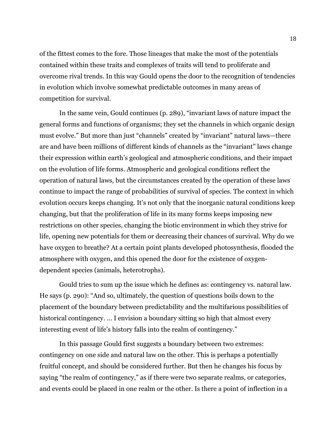of the fittest comes to the fore. Those lineages that make the most of the potentials contained within these traits and complexes of traits will tend to proliferate and overcome rival trends. In this way Gould opens the door to the recognition of tendencies in evolution which involve somewhat predictable outcomes in many areas of competition for survival.

In the same vein, Gould continues (p. 289), "invariant laws of nature impact the general forms and functions of organisms; they set the channels in which organic design must evolve." But more than just "channels" created by "invariant" natural laws—there are and have been millions of different kinds of channels as the "invariant" laws change their expression within earth's geological and atmospheric conditions, and their impact on the evolution of life forms. Atmospheric and geological conditions reflect the operation of natural laws, but the circumstances created by the operation of these laws continue to impact the range of probabilities of survival of species. The context in which evolution occurs keeps changing. It's not only that the inorganic natural conditions keep changing, but that the proliferation of life in its many forms keeps imposing new restrictions on other species, changing the biotic environment in which they strive for life, opening new potentials for them or decreasing their chances of survival. Why do we have oxygen to breathe? At a certain point plants developed photosynthesis, flooded the atmosphere with oxygen, and this opened the door for the existence of oxygendependent species (animals, heterotrophs).

Gould tries to sum up the issue which he defines as: contingency vs. natural law. He says (p. 290): "And so, ultimately, the question of questions boils down to the placement of the boundary between predictability and the multifarious possibilities of historical contingency. ... I envision a boundary sitting so high that almost every interesting event of life's history falls into the realm of contingency."

In this passage Gould first suggests a boundary between two extremes: contingency on one side and natural law on the other. This is perhaps a potentially fruitful concept, and should be considered further. But then he changes his focus by saying "the realm of contingency," as if there were two separate realms, or categories, and events could be placed in one realm or the other. Is there a point of inflection in a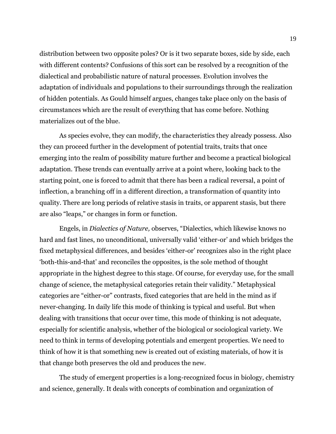distribution between two opposite poles? Or is it two separate boxes, side by side, each with different contents? Confusions of this sort can be resolved by a recognition of the dialectical and probabilistic nature of natural processes. Evolution involves the adaptation of individuals and populations to their surroundings through the realization of hidden potentials. As Gould himself argues, changes take place only on the basis of circumstances which are the result of everything that has come before. Nothing materializes out of the blue.

As species evolve, they can modify, the characteristics they already possess. Also they can proceed further in the development of potential traits, traits that once emerging into the realm of possibility mature further and become a practical biological adaptation. These trends can eventually arrive at a point where, looking back to the starting point, one is forced to admit that there has been a radical reversal, a point of inflection, a branching off in a different direction, a transformation of quantity into quality. There are long periods of relative stasis in traits, or apparent stasis, but there are also "leaps," or changes in form or function.

Engels, in *Dialectics of Nature,* observes, "Dialectics, which likewise knows no hard and fast lines, no unconditional, universally valid 'either-or' and which bridges the fixed metaphysical differences, and besides 'either-or' recognizes also in the right place 'both-this-and-that' and reconciles the opposites, is the sole method of thought appropriate in the highest degree to this stage. Of course, for everyday use, for the small change of science, the metaphysical categories retain their validity." Metaphysical categories are "either-or" contrasts, fixed categories that are held in the mind as if never-changing. In daily life this mode of thinking is typical and useful. But when dealing with transitions that occur over time, this mode of thinking is not adequate, especially for scientific analysis, whether of the biological or sociological variety. We need to think in terms of developing potentials and emergent properties. We need to think of how it is that something new is created out of existing materials, of how it is that change both preserves the old and produces the new.

The study of emergent properties is a long-recognized focus in biology, chemistry and science, generally. It deals with concepts of combination and organization of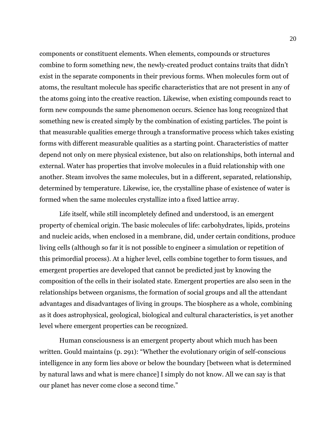components or constituent elements. When elements, compounds or structures combine to form something new, the newly-created product contains traits that didn't exist in the separate components in their previous forms. When molecules form out of atoms, the resultant molecule has specific characteristics that are not present in any of the atoms going into the creative reaction. Likewise, when existing compounds react to form new compounds the same phenomenon occurs. Science has long recognized that something new is created simply by the combination of existing particles. The point is that measurable qualities emerge through a transformative process which takes existing forms with different measurable qualities as a starting point. Characteristics of matter depend not only on mere physical existence, but also on relationships, both internal and external. Water has properties that involve molecules in a fluid relationship with one another. Steam involves the same molecules, but in a different, separated, relationship, determined by temperature. Likewise, ice, the crystalline phase of existence of water is formed when the same molecules crystallize into a fixed lattice array.

Life itself, while still incompletely defined and understood, is an emergent property of chemical origin. The basic molecules of life: carbohydrates, lipids, proteins and nucleic acids, when enclosed in a membrane, did, under certain conditions, produce living cells (although so far it is not possible to engineer a simulation or repetition of this primordial process). At a higher level, cells combine together to form tissues, and emergent properties are developed that cannot be predicted just by knowing the composition of the cells in their isolated state. Emergent properties are also seen in the relationships between organisms, the formation of social groups and all the attendant advantages and disadvantages of living in groups. The biosphere as a whole, combining as it does astrophysical, geological, biological and cultural characteristics, is yet another level where emergent properties can be recognized.

Human consciousness is an emergent property about which much has been written. Gould maintains (p. 291): "Whether the evolutionary origin of self-conscious intelligence in any form lies above or below the boundary [between what is determined by natural laws and what is mere chance] I simply do not know. All we can say is that our planet has never come close a second time."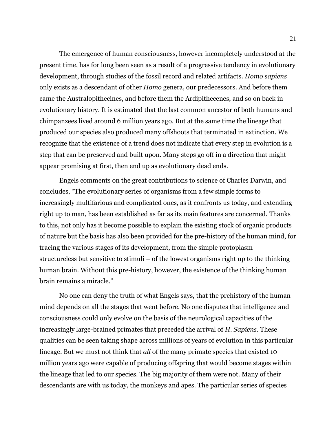The emergence of human consciousness, however incompletely understood at the present time, has for long been seen as a result of a progressive tendency in evolutionary development, through studies of the fossil record and related artifacts. *Homo sapiens* only exists as a descendant of other *Homo* genera, our predecessors. And before them came the Australopithecines, and before them the Ardipithecenes, and so on back in evolutionary history. It is estimated that the last common ancestor of both humans and chimpanzees lived around 6 million years ago. But at the same time the lineage that produced our species also produced many offshoots that terminated in extinction. We recognize that the existence of a trend does not indicate that every step in evolution is a step that can be preserved and built upon. Many steps go off in a direction that might appear promising at first, then end up as evolutionary dead ends.

Engels comments on the great contributions to science of Charles Darwin, and concludes, "The evolutionary series of organisms from a few simple forms to increasingly multifarious and complicated ones, as it confronts us today, and extending right up to man, has been established as far as its main features are concerned. Thanks to this, not only has it become possible to explain the existing stock of organic products of nature but the basis has also been provided for the pre-history of the human mind, for tracing the various stages of its development, from the simple protoplasm – structureless but sensitive to stimuli – of the lowest organisms right up to the thinking human brain. Without this pre-history, however, the existence of the thinking human brain remains a miracle."

No one can deny the truth of what Engels says, that the prehistory of the human mind depends on all the stages that went before. No one disputes that intelligence and consciousness could only evolve on the basis of the neurological capacities of the increasingly large-brained primates that preceded the arrival of *H. Sapiens*. These qualities can be seen taking shape across millions of years of evolution in this particular lineage. But we must not think that *all* of the many primate species that existed 10 million years ago were capable of producing offspring that would become stages within the lineage that led to our species. The big majority of them were not. Many of their descendants are with us today, the monkeys and apes. The particular series of species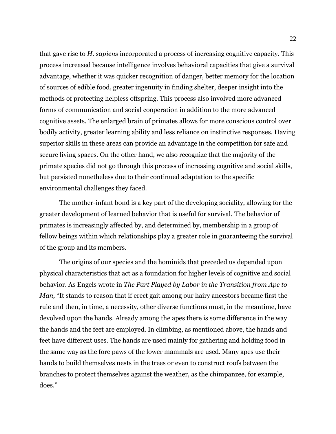that gave rise to *H. sapiens* incorporated a process of increasing cognitive capacity. This process increased because intelligence involves behavioral capacities that give a survival advantage, whether it was quicker recognition of danger, better memory for the location of sources of edible food, greater ingenuity in finding shelter, deeper insight into the methods of protecting helpless offspring. This process also involved more advanced forms of communication and social cooperation in addition to the more advanced cognitive assets. The enlarged brain of primates allows for more conscious control over bodily activity, greater learning ability and less reliance on instinctive responses. Having superior skills in these areas can provide an advantage in the competition for safe and secure living spaces. On the other hand, we also recognize that the majority of the primate species did not go through this process of increasing cognitive and social skills, but persisted nonetheless due to their continued adaptation to the specific environmental challenges they faced.

The mother-infant bond is a key part of the developing sociality, allowing for the greater development of learned behavior that is useful for survival. The behavior of primates is increasingly affected by, and determined by, membership in a group of fellow beings within which relationships play a greater role in guaranteeing the survival of the group and its members.

The origins of our species and the hominids that preceded us depended upon physical characteristics that act as a foundation for higher levels of cognitive and social behavior. As Engels wrote in *The Part Played by Labor in the Transition from Ape to Man,* "It stands to reason that if erect gait among our hairy ancestors became first the rule and then, in time, a necessity, other diverse functions must, in the meantime, have devolved upon the hands. Already among the apes there is some difference in the way the hands and the feet are employed. In climbing, as mentioned above, the hands and feet have different uses. The hands are used mainly for gathering and holding food in the same way as the fore paws of the lower mammals are used. Many apes use their hands to build themselves nests in the trees or even to construct roofs between the branches to protect themselves against the weather, as the chimpanzee, for example, does."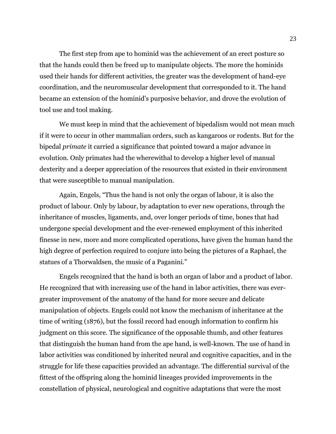The first step from ape to hominid was the achievement of an erect posture so that the hands could then be freed up to manipulate objects. The more the hominids used their hands for different activities, the greater was the development of hand-eye coordination, and the neuromuscular development that corresponded to it. The hand became an extension of the hominid's purposive behavior, and drove the evolution of tool use and tool making.

We must keep in mind that the achievement of bipedalism would not mean much if it were to occur in other mammalian orders, such as kangaroos or rodents. But for the bipedal *primate* it carried a significance that pointed toward a major advance in evolution. Only primates had the wherewithal to develop a higher level of manual dexterity and a deeper appreciation of the resources that existed in their environment that were susceptible to manual manipulation.

Again, Engels, "Thus the hand is not only the organ of labour, it is also the product of labour. Only by labour, by adaptation to ever new operations, through the inheritance of muscles, ligaments, and, over longer periods of time, bones that had undergone special development and the ever-renewed employment of this inherited finesse in new, more and more complicated operations, have given the human hand the high degree of perfection required to conjure into being the pictures of a Raphael, the statues of a Thorwaldsen, the music of a Paganini."

Engels recognized that the hand is both an organ of labor and a product of labor. He recognized that with increasing use of the hand in labor activities, there was evergreater improvement of the anatomy of the hand for more secure and delicate manipulation of objects. Engels could not know the mechanism of inheritance at the time of writing (1876), but the fossil record had enough information to confirm his judgment on this score. The significance of the opposable thumb, and other features that distinguish the human hand from the ape hand, is well-known. The use of hand in labor activities was conditioned by inherited neural and cognitive capacities, and in the struggle for life these capacities provided an advantage. The differential survival of the fittest of the offspring along the hominid lineages provided improvements in the constellation of physical, neurological and cognitive adaptations that were the most